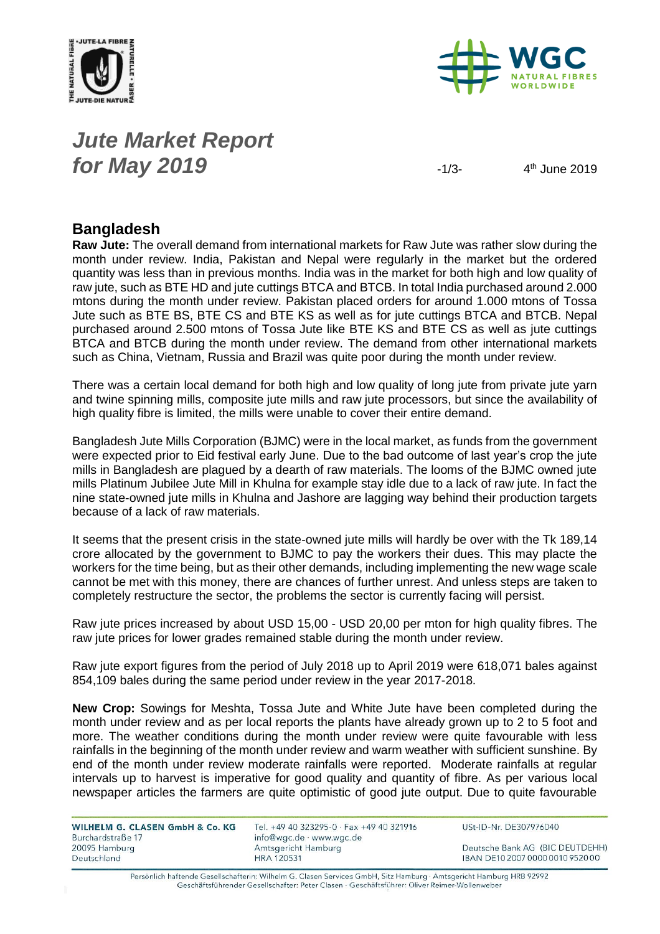



## *Jute Market Report for May* **2019**  $-1/3$

 $4<sup>th</sup>$  June 2019

## **Bangladesh**

**Raw Jute:** The overall demand from international markets for Raw Jute was rather slow during the month under review. India, Pakistan and Nepal were regularly in the market but the ordered quantity was less than in previous months. India was in the market for both high and low quality of raw jute, such as BTE HD and jute cuttings BTCA and BTCB. In total India purchased around 2.000 mtons during the month under review. Pakistan placed orders for around 1.000 mtons of Tossa Jute such as BTE BS, BTE CS and BTE KS as well as for jute cuttings BTCA and BTCB. Nepal purchased around 2.500 mtons of Tossa Jute like BTE KS and BTE CS as well as jute cuttings BTCA and BTCB during the month under review. The demand from other international markets such as China, Vietnam, Russia and Brazil was quite poor during the month under review.

There was a certain local demand for both high and low quality of long jute from private jute yarn and twine spinning mills, composite jute mills and raw jute processors, but since the availability of high quality fibre is limited, the mills were unable to cover their entire demand.

Bangladesh Jute Mills Corporation (BJMC) were in the local market, as funds from the government were expected prior to Eid festival early June. Due to the bad outcome of last year's crop the jute mills in Bangladesh are plagued by a dearth of raw materials. The looms of the BJMC owned jute mills Platinum Jubilee Jute Mill in Khulna for example stay idle due to a lack of raw jute. In fact the nine state-owned jute mills in Khulna and Jashore are lagging way behind their production targets because of a lack of raw materials.

It seems that the present crisis in the state-owned jute mills will hardly be over with the Tk 189,14 crore allocated by the government to BJMC to pay the workers their dues. This may placte the workers for the time being, but as their other demands, including implementing the new wage scale cannot be met with this money, there are chances of further unrest. And unless steps are taken to completely restructure the sector, the problems the sector is currently facing will persist.

Raw jute prices increased by about USD 15,00 - USD 20,00 per mton for high quality fibres. The raw jute prices for lower grades remained stable during the month under review.

Raw jute export figures from the period of July 2018 up to April 2019 were 618,071 bales against 854,109 bales during the same period under review in the year 2017-2018.

**New Crop:** Sowings for Meshta, Tossa Jute and White Jute have been completed during the month under review and as per local reports the plants have already grown up to 2 to 5 foot and more. The weather conditions during the month under review were quite favourable with less rainfalls in the beginning of the month under review and warm weather with sufficient sunshine. By end of the month under review moderate rainfalls were reported. Moderate rainfalls at regular intervals up to harvest is imperative for good quality and quantity of fibre. As per various local newspaper articles the farmers are quite optimistic of good jute output. Due to quite favourable

| <b>WILHELM G. CLASEN GmbH &amp; Co. KG</b> |  |  |
|--------------------------------------------|--|--|
| Burchardstraße 17                          |  |  |
| 20095 Hamburg                              |  |  |
| Deutschland                                |  |  |

Tel. +49 40 323295-0 · Fax +49 40 321916 info@wgc.de · www.wgc.de Amtsgericht Hamburg **HRA 120531** 

USt-ID-Nr. DE307976040

Deutsche Bank AG (BIC DEUTDEHH) IBAN DE10 2007 0000 0010 9520 00

Persönlich haftende Gesellschafterin: Wilhelm G. Clasen Services GmbH, Sitz Hamburg · Amtsgericht Hamburg HRB 92992 Geschäftsführender Gesellschafter: Peter Clasen · Geschäftsführer: Oliver Reimer-Wollenweber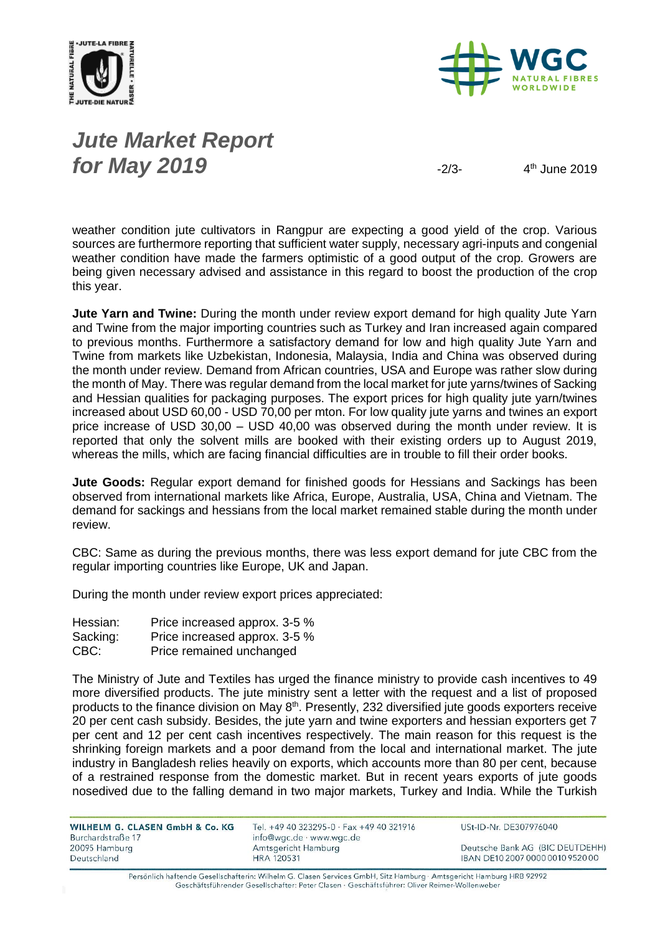



## *Jute Market Report for May 2019*  $\frac{2}{3-2}$

 $4<sup>th</sup>$  June 2019

weather condition jute cultivators in Rangpur are expecting a good yield of the crop. Various sources are furthermore reporting that sufficient water supply, necessary agri-inputs and congenial weather condition have made the farmers optimistic of a good output of the crop. Growers are being given necessary advised and assistance in this regard to boost the production of the crop this year.

**Jute Yarn and Twine:** During the month under review export demand for high quality Jute Yarn and Twine from the major importing countries such as Turkey and Iran increased again compared to previous months. Furthermore a satisfactory demand for low and high quality Jute Yarn and Twine from markets like Uzbekistan, Indonesia, Malaysia, India and China was observed during the month under review. Demand from African countries, USA and Europe was rather slow during the month of May. There was regular demand from the local market for jute yarns/twines of Sacking and Hessian qualities for packaging purposes. The export prices for high quality jute yarn/twines increased about USD 60,00 - USD 70,00 per mton. For low quality jute yarns and twines an export price increase of USD 30,00 – USD 40,00 was observed during the month under review. It is reported that only the solvent mills are booked with their existing orders up to August 2019, whereas the mills, which are facing financial difficulties are in trouble to fill their order books.

**Jute Goods:** Regular export demand for finished goods for Hessians and Sackings has been observed from international markets like Africa, Europe, Australia, USA, China and Vietnam. The demand for sackings and hessians from the local market remained stable during the month under review.

CBC: Same as during the previous months, there was less export demand for jute CBC from the regular importing countries like Europe, UK and Japan.

During the month under review export prices appreciated:

| Hessian: | Price increased approx. 3-5 % |
|----------|-------------------------------|
| Sacking: | Price increased approx. 3-5 % |
| CBC:     | Price remained unchanged      |

The Ministry of Jute and Textiles has urged the finance ministry to provide cash incentives to 49 more diversified products. The jute ministry sent a letter with the request and a list of proposed products to the finance division on May 8<sup>th</sup>. Presently, 232 diversified jute goods exporters receive 20 per cent cash subsidy. Besides, the jute yarn and twine exporters and hessian exporters get 7 per cent and 12 per cent cash incentives respectively. The main reason for this request is the shrinking foreign markets and a poor demand from the local and international market. The jute industry in Bangladesh relies heavily on exports, which accounts more than 80 per cent, because of a restrained response from the domestic market. But in recent years exports of jute goods nosedived due to the falling demand in two major markets, Turkey and India. While the Turkish

WILHELM G. CLASEN GmbH & Co. KG Burchardstraße 17 20095 Hamburg Deutschland

Tel. +49 40 323295-0 · Fax +49 40 321916 info@wgc.de · www.wgc.de Amtsgericht Hamburg **HRA 120531** 

USt-ID-Nr. DE307976040

Deutsche Bank AG (BIC DEUTDEHH) IBAN DE10 2007 0000 0010 9520 00

Persönlich haftende Gesellschafterin: Wilhelm G. Clasen Services GmbH, Sitz Hamburg · Amtsgericht Hamburg HRB 92992 Geschäftsführender Gesellschafter: Peter Clasen · Geschäftsführer: Oliver Reimer-Wollenweber